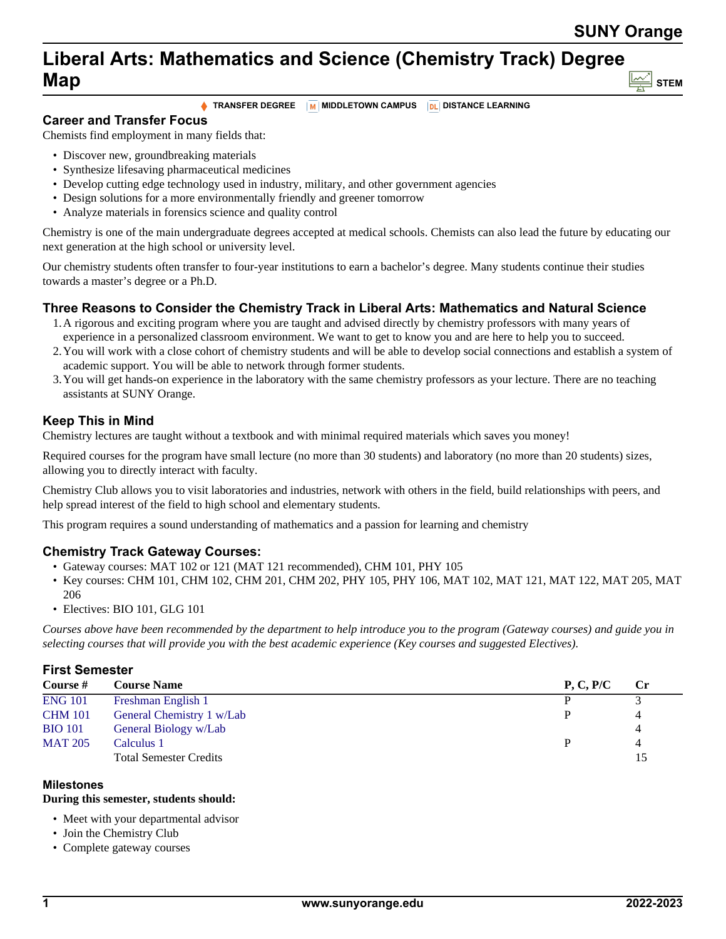# **Liberal Arts: Mathematics and Science (Chemistry Track) Degree Map STEM**

**TRANSFER DEGREE M** MIDDLETOWN CAMPUS **DL** DISTANCE LEARNING

**Career and Transfer Focus**

Chemists find employment in many fields that:

- Discover new, groundbreaking materials
- Synthesize lifesaving pharmaceutical medicines
- Develop cutting edge technology used in industry, military, and other government agencies
- Design solutions for a more environmentally friendly and greener tomorrow
- Analyze materials in forensics science and quality control

Chemistry is one of the main undergraduate degrees accepted at medical schools. Chemists can also lead the future by educating our next generation at the high school or university level.

Our chemistry students often transfer to four-year institutions to earn a bachelor's degree. Many students continue their studies towards a master's degree or a Ph.D.

## **Three Reasons to Consider the Chemistry Track in Liberal Arts: Mathematics and Natural Science**

- 1.A rigorous and exciting program where you are taught and advised directly by chemistry professors with many years of experience in a personalized classroom environment. We want to get to know you and are here to help you to succeed.
- 2.You will work with a close cohort of chemistry students and will be able to develop social connections and establish a system of academic support. You will be able to network through former students.
- 3.You will get hands-on experience in the laboratory with the same chemistry professors as your lecture. There are no teaching assistants at SUNY Orange.

# **Keep This in Mind**

Chemistry lectures are taught without a textbook and with minimal required materials which saves you money!

Required courses for the program have small lecture (no more than 30 students) and laboratory (no more than 20 students) sizes, allowing you to directly interact with faculty.

Chemistry Club allows you to visit laboratories and industries, network with others in the field, build relationships with peers, and help spread interest of the field to high school and elementary students.

This program requires a sound understanding of mathematics and a passion for learning and chemistry

## **Chemistry Track Gateway Courses:**

- Gateway courses: MAT 102 or 121 (MAT 121 recommended), CHM 101, PHY 105
- Key courses: CHM 101, CHM 102, CHM 201, CHM 202, PHY 105, PHY 106, MAT 102, MAT 121, MAT 122, MAT 205, MAT 206
- Electives: BIO 101, GLG 101

*Courses above have been recommended by the department to help introduce you to the program (Gateway courses) and guide you in selecting courses that will provide you with the best academic experience (Key courses and suggested Electives).*

#### **First Semester**

| Course #       | <b>Course Name</b>            | P, C, P/C | $\mathbf{C}$ r |
|----------------|-------------------------------|-----------|----------------|
| <b>ENG 101</b> | Freshman English 1            |           |                |
| <b>CHM 101</b> | General Chemistry 1 w/Lab     |           |                |
| <b>BIO 101</b> | General Biology w/Lab         |           |                |
| <b>MAT 205</b> | Calculus 1                    |           |                |
|                | <b>Total Semester Credits</b> |           |                |

#### **Milestones**

#### **During this semester, students should:**

- Meet with your departmental advisor
- Join the Chemistry Club
- Complete gateway courses